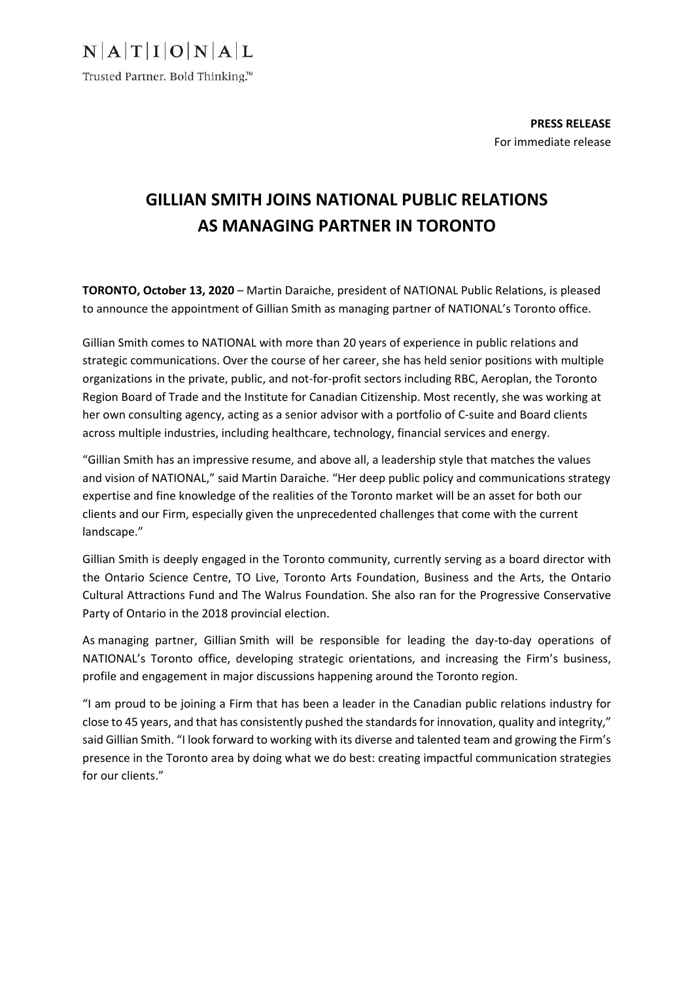$N$  $A$  $T$  $I$  $O$  $N$  $A$  $L$ 

Trusted Partner. Bold Thinking.™

**PRESS RELEASE**  For immediate release

## **GILLIAN SMITH JOINS NATIONAL PUBLIC RELATIONS AS MANAGING PARTNER IN TORONTO**

**TORONTO, October 13, 2020** – Martin Daraiche, president of NATIONAL Public Relations, is pleased to announce the appointment of Gillian Smith as managing partner of NATIONAL's Toronto office.

Gillian Smith comes to NATIONAL with more than 20 years of experience in public relations and strategic communications. Over the course of her career, she has held senior positions with multiple organizations in the private, public, and not‐for‐profit sectors including RBC, Aeroplan, the Toronto Region Board of Trade and the Institute for Canadian Citizenship. Most recently, she was working at her own consulting agency, acting as a senior advisor with a portfolio of C-suite and Board clients across multiple industries, including healthcare, technology, financial services and energy.

"Gillian Smith has an impressive resume, and above all, a leadership style that matches the values and vision of NATIONAL," said Martin Daraiche. "Her deep public policy and communications strategy expertise and fine knowledge of the realities of the Toronto market will be an asset for both our clients and our Firm, especially given the unprecedented challenges that come with the current landscape."

Gillian Smith is deeply engaged in the Toronto community, currently serving as a board director with the Ontario Science Centre, TO Live, Toronto Arts Foundation, Business and the Arts, the Ontario Cultural Attractions Fund and The Walrus Foundation. She also ran for the Progressive Conservative Party of Ontario in the 2018 provincial election.

As managing partner, Gillian Smith will be responsible for leading the day‐to‐day operations of NATIONAL's Toronto office, developing strategic orientations, and increasing the Firm's business, profile and engagement in major discussions happening around the Toronto region.

"I am proud to be joining a Firm that has been a leader in the Canadian public relations industry for close to 45 years, and that has consistently pushed the standards for innovation, quality and integrity," said Gillian Smith. "I look forward to working with its diverse and talented team and growing the Firm's presence in the Toronto area by doing what we do best: creating impactful communication strategies for our clients."